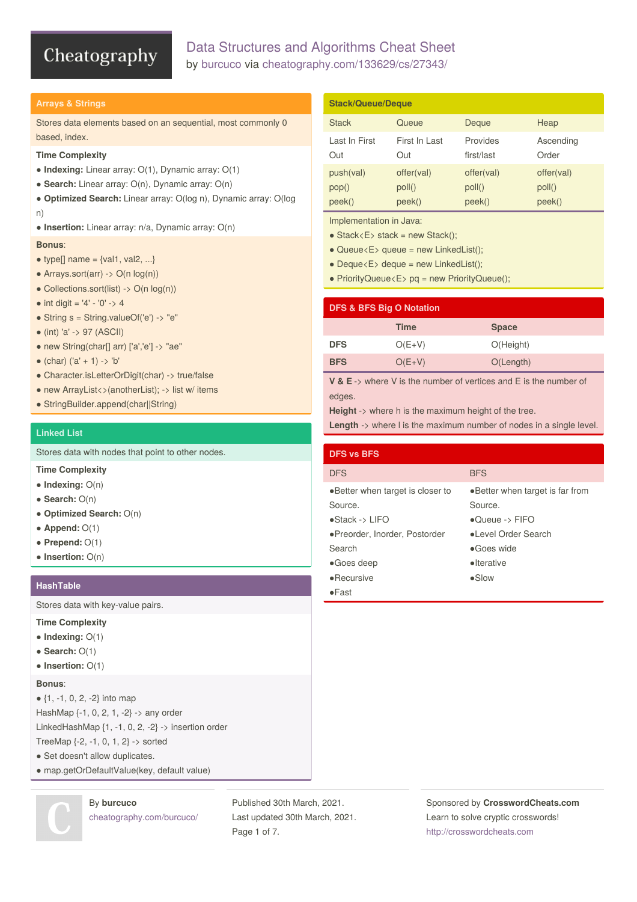# Data Structures and Algorithms Cheat Sheet by [burcuco](http://www.cheatography.com/burcuco/) via [cheatography.com/133629/cs/27343/](http://www.cheatography.com/burcuco/cheat-sheets/data-structures-and-algorithms)

## **Arrays & Strings**

Stores data elements based on an sequential, most commonly 0 based, index.

### **Time Complexity**

- **Indexing:** Linear array: O(1), Dynamic array: O(1)
- **Search:** Linear array: O(n), Dynamic array: O(n)
- **Optimized Search:** Linear array: O(log n), Dynamic array: O(log n)
- **Insertion:** Linear array: n/a, Dynamic array: O(n)

### **Bonus**:

- $\bullet$  type[] name = {val1, val2, ...}
- $\bullet$  Arrays.sort(arr) -> O(n log(n))
- $\bullet$  Collections.sort(list) -> O(n log(n))
- int digit =  $'4' '0' > 4$
- String s = String.valueOf('e') -> "e"
- (int) 'a' -> 97 (ASCII)
- new String(char[] arr) ['a','e'] -> "ae"
- $\bullet$  (char) ('a' + 1) -> 'b'
- Character.isLetterOrDigit(char) -> true/false
- new ArrayList <> (anotherList); -> list w/items
- StringBuilder.append(char||String)

# **Linked List**

Stores data with nodes that point to other nodes.

# **Time Complexity**

- **Indexing:** O(n)
- **Search:** O(n)
- **Optimized Search:** O(n)
- $\bullet$  **Append:**  $O(1)$
- **Prepend:** O(1)
- **Insertion:** O(n)

#### **HashTable**

Stores data with key-value pairs.

### **Time Complexity**

- **Indexing:** O(1)
- **Search:** O(1)
- **Insertion:** O(1)

### **Bonus**:

● {1, -1, 0, 2, -2} into map HashMap {-1, 0, 2, 1, -2} -> any order LinkedHashMap {1, -1, 0, 2, -2} -> insertion order

- TreeMap {-2, -1, 0, 1, 2} -> sorted
- Set doesn't allow duplicates.
- map.getOrDefaultValue(key, default value)

# By **burcuco** [cheatography.com/burcuco/](http://www.cheatography.com/burcuco/)

Published 30th March, 2021. Last updated 30th March, 2021. Page 1 of 7.

#### **Stack/Queue/Deque** Stack **Queue** Deque Heap Last In First Out First In Last Out Provides first/last Ascending Order push(val) pop() offer(val) poll() offer(val) poll() offer(val) poll()

peek()

peek()

Implementation in Java:

peek()

- $\bullet$  Stack < E > stack = new Stack();
- $\bullet$  Queue < E > queue = new LinkedList();

peek()

- $\bullet$  Deque $\lt E$  deque = new LinkedList();
- PriorityQueue<E> pq = new PriorityQueue();

# **DFS & BFS Big O Notation Time Space DFS** O(E+V) O(Height) **BFS** O(E+V) O(Length)

**V & E** -> where V is the number of vertices and E is the number of edges.

**Height** -> where h is the maximum height of the tree.

**Length** -> where I is the maximum number of nodes in a single level.

| <b>DFS vs BFS</b>                 |                                 |
|-----------------------------------|---------------------------------|
| <b>DFS</b>                        | <b>BFS</b>                      |
| • Better when target is closer to | •Better when target is far from |
| Source.                           | Source.                         |
| $\bullet$ Stack -> LIFO           | $\bullet$ Queue -> FIFO         |
| •Preorder, Inorder, Postorder     | • Level Order Search            |
| Search                            | •Goes wide                      |
| $\bullet$ Goes deep               | • Iterative                     |
| $\bullet$ Recursive               | $\bullet$ Slow                  |
| $\bullet$ Fast                    |                                 |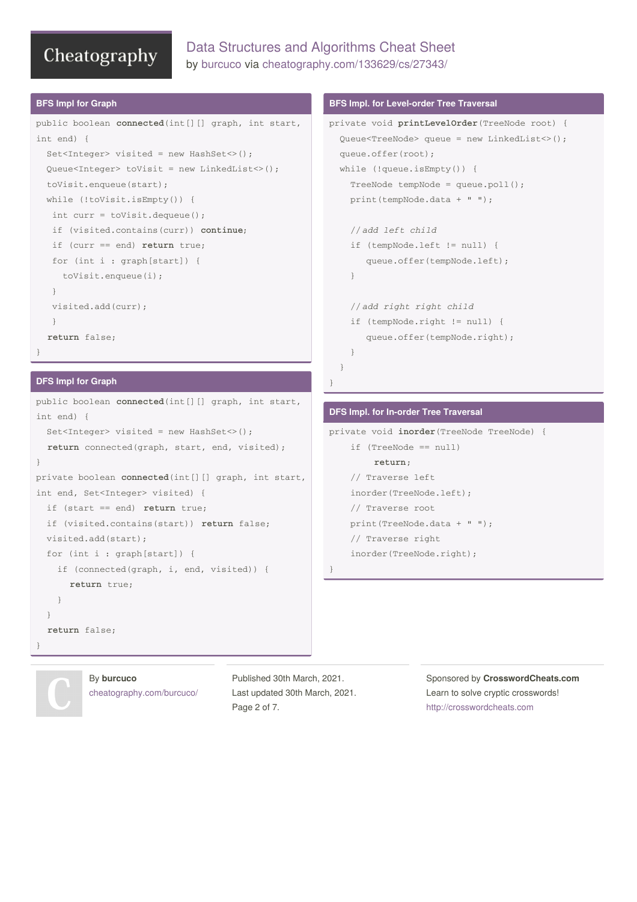# Data Structures and Algorithms Cheat Sheet by [burcuco](http://www.cheatography.com/burcuco/) via [cheatography.com/133629/cs/27343/](http://www.cheatography.com/burcuco/cheat-sheets/data-structures-and-algorithms)

#### **BFS Impl for Graph**

```
public boolean connected(int[][] graph, int start,
int end) {
 Set<Integer> visited = new HashSet<>();
 Queue<Integer> toVisit = new LinkedList<>();
 toVisit.enqueue(start);
  while (!toVisit.isEmpty()) {
  int curr = toVisit.dequeue();
  if (visited.contains(curr)) continue;
  if (curr == end) return true;
  for (int i : graph[start]) {
    toVisit.enqueue(i);
  }
  visited.add(curr);
  }
  return false;
}
```
### **DFS Impl for Graph**

```
public boolean connected(int[][] graph, int start,
int end) {
 Set<Integer> visited = new HashSet<>();
  return connected(graph, start, end, visited);
}
private boolean connected(int[][] graph, int start,
int end, Set<Integer> visited) {
 if (start == end) return true;
 if (visited.contains(start)) return false;
 visited.add(start);
 for (int i : graph[start]) {
   if (connected(graph, i, end, visited)) {
      return true;
    \mathfrak{z}}
  return false;
}
```
## **BFS Impl. for Level-order Tree Traversal**

```
private void printLevelOrder(TreeNode root) {
  Queue<TreeNode> queue = new LinkedList<>();
  queue.offer(root);
  while (!queue.isEmpty()) {
    TreeNode tempNode = queue.poll();
    print(tempNode.data + " ");
    //add left child
    if (tempNode.left != null) {
       queue.offer(tempNode.left);
    }
    //add right right child
    if (tempNode.right != null) {
       queue.offer(tempNode.right);
    }
  }
}
```
# **DFS Impl. for In-order Tree Traversal**

```
private void inorder(TreeNode TreeNode) {
    if (TreeNode == null)
        return;
    // Traverse left
    inorder(TreeNode.left);
    // Traverse root
    print(TreeNode.data + " ");
    // Traverse right
    inorder(TreeNode.right);
}
```
By **burcuco** [cheatography.com/burcuco/](http://www.cheatography.com/burcuco/) Published 30th March, 2021. Last updated 30th March, 2021. Page 2 of 7.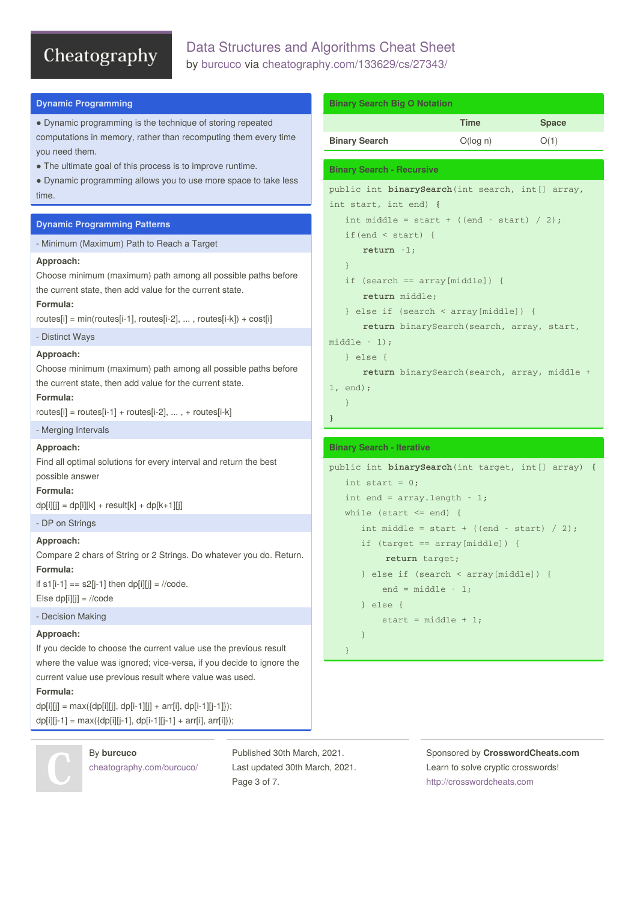# Data Structures and Algorithms Cheat Sheet by [burcuco](http://www.cheatography.com/burcuco/) via [cheatography.com/133629/cs/27343/](http://www.cheatography.com/burcuco/cheat-sheets/data-structures-and-algorithms)

| <b>Dynamic Programming</b>                                                                                                | <b>Binary Search Big O Notation</b>                |                                                                  |              |
|---------------------------------------------------------------------------------------------------------------------------|----------------------------------------------------|------------------------------------------------------------------|--------------|
| • Dynamic programming is the technique of storing repeated                                                                |                                                    | <b>Time</b>                                                      | <b>Space</b> |
| computations in memory, rather than recomputing them every time<br>you need them.                                         | <b>Binary Search</b>                               | O(log n)                                                         | O(1)         |
| • The ultimate goal of this process is to improve runtime.                                                                | <b>Binary Search - Recursive</b>                   |                                                                  |              |
| • Dynamic programming allows you to use more space to take less                                                           | public int binarySearch (int search, int [] array, |                                                                  |              |
| time.                                                                                                                     | int start, int end) {                              |                                                                  |              |
| <b>Dynamic Programming Patterns</b>                                                                                       |                                                    | int middle = start + ((end - start) / 2);                        |              |
| - Minimum (Maximum) Path to Reach a Target                                                                                | if $(end < start)$ {                               |                                                                  |              |
| Approach:                                                                                                                 | return $-1$ ;<br>$\}$                              |                                                                  |              |
| Choose minimum (maximum) path among all possible paths before                                                             | if $(search == array[middle])$ {                   |                                                                  |              |
| the current state, then add value for the current state.                                                                  | return middle;                                     |                                                                  |              |
| Formula:                                                                                                                  |                                                    | } else if $(search < array[middle])$ {                           |              |
| routes[i] = $min(routers[i-1], routes[i-2], , routes[i-k]) + cost[i]$                                                     |                                                    | return binarySearch (search, array, start,                       |              |
| - Distinct Ways                                                                                                           | $middle - 1);$                                     |                                                                  |              |
| Approach:                                                                                                                 | $\}$ else $\{$                                     |                                                                  |              |
| Choose minimum (maximum) path among all possible paths before<br>the current state, then add value for the current state. |                                                    | return binarySearch(search, array, middle +                      |              |
| Formula:                                                                                                                  | 1, end;                                            |                                                                  |              |
| routes[i] = routes[i-1] + routes[i-2], , + routes[i-k]                                                                    | }                                                  |                                                                  |              |
| - Merging Intervals                                                                                                       |                                                    |                                                                  |              |
| Approach:                                                                                                                 | <b>Binary Search - Iterative</b>                   |                                                                  |              |
| Find all optimal solutions for every interval and return the best                                                         | public int binarySearch(int target, int[] array) { |                                                                  |              |
| possible answer                                                                                                           | int start = $0$ ;                                  |                                                                  |              |
| Formula:                                                                                                                  | int end = $array.length - 1$ ;                     |                                                                  |              |
| $dp[i][j] = dp[i][k] + result[k] + dp[k+1][j]$                                                                            | while (start $\le$ end) {                          |                                                                  |              |
| - DP on Strings                                                                                                           |                                                    | int middle = start + ((end - start) / 2);                        |              |
| Approach:<br>Compare 2 chars of String or 2 Strings. Do whatever you do. Return.                                          |                                                    | if $(target == array[middle])$ {                                 |              |
| Formula:                                                                                                                  | return target;                                     |                                                                  |              |
| if $s1[i-1] == s2[i-1]$ then $dp[i][j] = //code$ .                                                                        |                                                    | } else if (search < array[middle]) {<br>end = $mid$ = $\cdot$ 1; |              |
| Else dp[i][j] = $//code$                                                                                                  | } $else$ {                                         |                                                                  |              |
| - Decision Making                                                                                                         |                                                    | start = $middle + 1$ ;                                           |              |
| Approach:                                                                                                                 | }                                                  |                                                                  |              |
| If you decide to choose the current value use the previous result                                                         | ł                                                  |                                                                  |              |
| where the value was ignored; vice-versa, if you decide to ignore the                                                      |                                                    |                                                                  |              |
| current value use previous result where value was used.                                                                   |                                                    |                                                                  |              |

**Formula:**

 $dp[i][j] = max({dp[i][j], dp[i-1][j] + arr[i], dp[i-1][j-1]});$  $dp[i][j-1] = max({dp[i][j-1], dp[i-1][j-1] + arr[i], arr[i]});$ 



By **burcuco** [cheatography.com/burcuco/](http://www.cheatography.com/burcuco/) Published 30th March, 2021. Last updated 30th March, 2021. Page 3 of 7.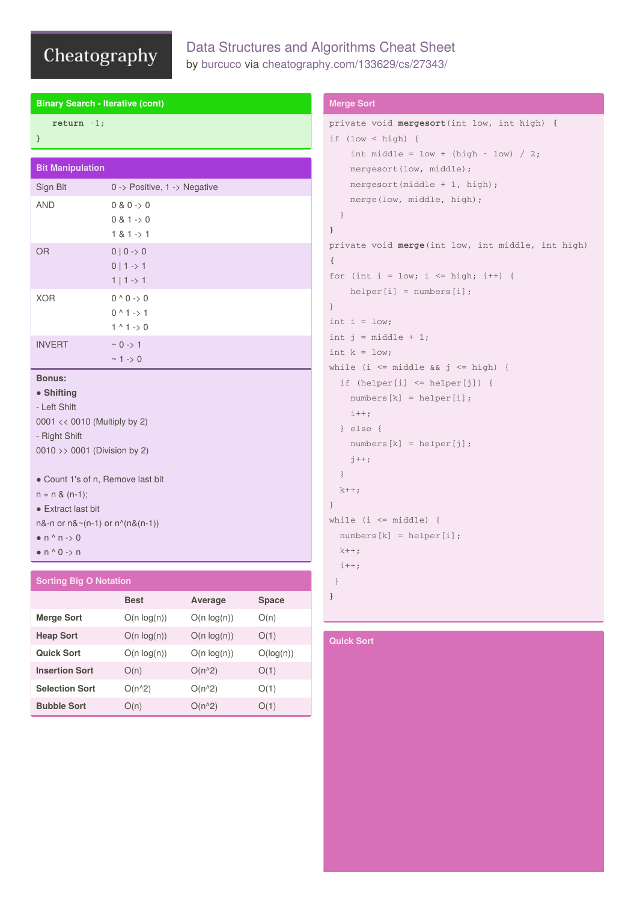**Binary Search - Iterative (cont)**

# Data Structures and Algorithms Cheat Sheet by [burcuco](http://www.cheatography.com/burcuco/) via [cheatography.com/133629/cs/27343/](http://www.cheatography.com/burcuco/cheat-sheets/data-structures-and-algorithms)

| return $-1$ ;                 |                                   |                |              | pri <sup>.</sup> |
|-------------------------------|-----------------------------------|----------------|--------------|------------------|
| }                             |                                   |                |              | if               |
|                               |                                   |                |              |                  |
| <b>Bit Manipulation</b>       |                                   |                |              |                  |
| Sign Bit                      | 0 -> Positive, 1 -> Negative      |                |              |                  |
| <b>AND</b>                    | 0 & 0 & 0                         |                |              |                  |
|                               | 0 & 1 & > 0                       |                |              |                  |
|                               | $1 & 1 - 1$                       |                |              | }                |
| <b>OR</b>                     | $0   0 \rightarrow 0$             |                |              | pri <sup>.</sup> |
|                               | $0   1 \rightarrow 1$             |                |              | $\{$             |
|                               | $1   1 \rightarrow 1$             |                |              | for              |
| <b>XOR</b>                    | $0^0 0 \rightarrow 0$             |                |              |                  |
|                               | $0^{\wedge} 1 \rightarrow 1$      |                |              | $\}$             |
|                               | $1^{\wedge} 1 \rightarrow 0$      |                |              | int              |
| <b>INVERT</b>                 | $~0$ -> 1                         |                |              | int              |
|                               | $~1$ -> 0                         |                |              | int              |
| <b>Bonus:</b>                 |                                   |                |              | whi              |
| • Shifting                    |                                   |                |              |                  |
| - Left Shift                  |                                   |                |              |                  |
|                               | 0001 << 0010 (Multiply by 2)      |                |              |                  |
| - Right Shift                 |                                   |                |              |                  |
|                               | 0010 >> 0001 (Division by 2)      |                |              |                  |
|                               |                                   |                |              |                  |
|                               | • Count 1's of n, Remove last bit |                |              |                  |
| $n = n & (n-1);$              |                                   |                |              | $\}$             |
| • Extract last bit            |                                   |                |              | whi              |
| $\bullet$ n ^ n -> 0          | n&-n or n&~(n-1) or n^(n&(n-1))   |                |              |                  |
| $\bullet$ n ^ 0 -> n          |                                   |                |              |                  |
|                               |                                   |                |              |                  |
| <b>Sorting Big O Notation</b> |                                   |                |              | }                |
|                               | <b>Best</b>                       | <b>Average</b> | <b>Space</b> | }                |
|                               |                                   |                |              |                  |

# **Merge Sort**  $O(n \log(n))$   $O(n \log(n))$   $O(n)$ **Heap Sort**  $O(n \log(n))$   $O(n \log(n))$   $O(1)$ **Quick Sort**  $O(n log(n))$   $O(n log(n))$   $O(log(n))$ **Insertion Sort**  $O(n)$   $O(n^2)$   $O(1)$ **Selection Sort**  $O(n^2)$   $O(n^2)$   $O(1)$ **Bubble Sort**  $O(n)$   $O(n^2)$   $O(1)$

# **Merge Sort**

```
private void mergesort(int low, int high) {
 (low < high) {
 int middle = low + (high - low) / 2;mergesort(low, middle);
 mergesort(middle + 1, high);
 merge(low, middle, high);
}
 vate void merge(int low, int middle, int high)
 (int i = low; i <= high; i++) {
 helper[i] = numbers[i];
 i = 1ow;
 i = middle + 1;k = 1ow;
 le (i <= middle && j <= high) {
 f (helper[i] \leq helper[j]) {
 numbers[k] = helper[i];
 i++;
 } else {
 numbers[k] = helper[j];
 j++;}
 ^{++};
 le (i \le middle) {
 umbers[k] = helper[i];^{++}++;
```
# **Quick Sort**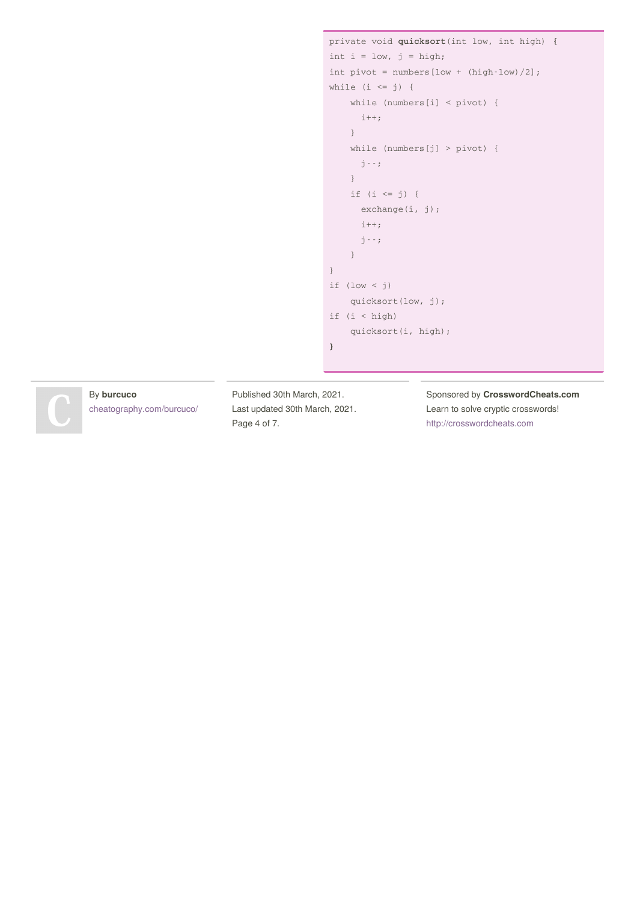```
private void quicksort(int low, int high) {
int i = 1ow, j = high;int pivot = numbers[low + (high-low)/2];
while (i \le j) {
   while (numbers[i] < pivot) {
    i++;}
   while (numbers[j] > pivot) {
     j--;
   }
   if (i \leq j) {
     exchange(i, j);
    i++;
     j--;
   }
}
if (low < j)
   quicksort(low, j);
if (i < high)
   quicksort(i, high);
}
```
### By **burcuco**

[cheatography.com/burcuco/](http://www.cheatography.com/burcuco/)

Published 30th March, 2021. Last updated 30th March, 2021. Page 4 of 7.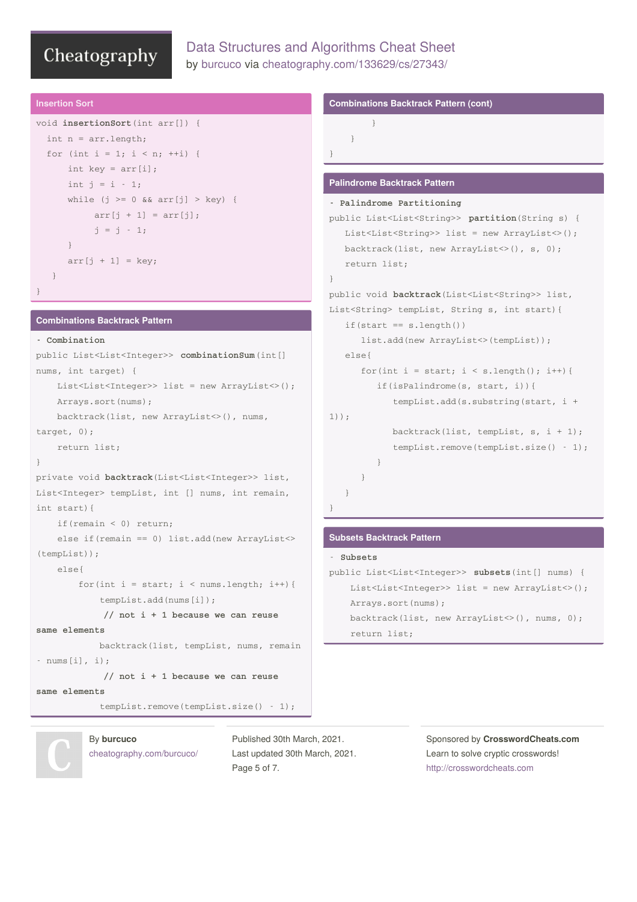# Data Structures and Algorithms Cheat Sheet by [burcuco](http://www.cheatography.com/burcuco/) via [cheatography.com/133629/cs/27343/](http://www.cheatography.com/burcuco/cheat-sheets/data-structures-and-algorithms)

### **Insertion Sort**

```
void insertionSort(int arr[]) {
 int n = arr.length;
 for (int i = 1; i < n; ++i) {
     int key = arr[i];
     int j = i - 1;
     while (j >= 0 && arr[j] > key) {
          arr[j + 1] = arr[j];j = j - 1;}
     arr[j + 1] = key;}
}
```
### **Combinations Backtrack Pattern**

```
- Combination
public List<List<Integer>> combinationSum(int[]
nums, int target) {
   List<List<Integer>> list = new ArrayList<>();
   Arrays.sort(nums);
   backtrack(list, new ArrayList<>(), nums,
target, 0);
    return list;
}
private void backtrack(List<List<Integer>> list,
List<Integer> tempList, int [] nums, int remain,
int start){
    if(remain < 0) return;
   else if(remain == 0) list.add(new ArrayList<>
(tempList));
    else{
        for(int i = start; i < nums.length; i++){
            tempList.add(nums[i]);
             // not i + 1 because we can reuse
same elements
            backtrack(list, tempList, nums, remain
- nums[i], i);
            // not i + 1 because we can reuse
same elements
```
tempList.remove(tempList.size() - 1);

By **burcuco** [cheatography.com/burcuco/](http://www.cheatography.com/burcuco/) Published 30th March, 2021. Last updated 30th March, 2021. Page 5 of 7.

#### **Combinations Backtrack Pattern (cont)**

```
}
```
}

}

#### **Palindrome Backtrack Pattern**

```
- Palindrome Partitioning
public List<List<String>> partition(String s) {
   List<List<String>> list = new ArrayList<>();
   backtrack(list, new ArrayList<>(), s, 0);
   return list;
}
public void backtrack(List<List<String>> list,
List<String> tempList, String s, int start){
   if(star = s.length())list.add(new ArrayList<>(tempList));
   else{
      for(int i = start; i < s.length(); i++){
        if(isPalindrome(s, start, i)){
            tempList.add(s.substring(start, i +
1));
            backtrack(list, tempList, s, i + 1);
            tempList.remove(tempList.size() - 1);
         }
      }
  }
}
```
#### **Subsets Backtrack Pattern**

```
- Subsets
public List<List<Integer>> subsets(int[] nums) {
   List<List<Integer>> list = new ArrayList<>();
   Arrays.sort(nums);
   backtrack(list, new ArrayList<>(), nums, 0);
   return list;
```